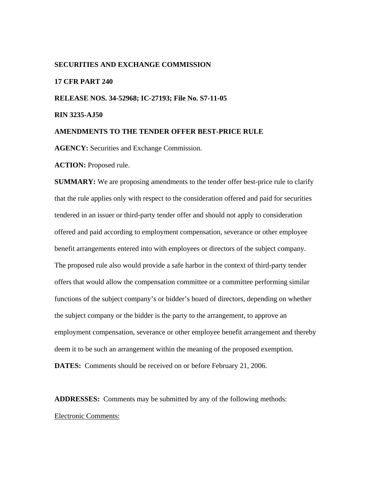#### **SECURITIES AND EXCHANGE COMMISSION**

# **17 CFR PART 240**

**RELEASE NOS. 34-52968; IC-27193; File No. S7-11-05** 

**RIN 3235-AJ50** 

#### **AMENDMENTS TO THE TENDER OFFER BEST-PRICE RULE**

**AGENCY:** Securities and Exchange Commission.

**ACTION:** Proposed rule.

**SUMMARY:** We are proposing amendments to the tender offer best-price rule to clarify that the rule applies only with respect to the consideration offered and paid for securities tendered in an issuer or third-party tender offer and should not apply to consideration offered and paid according to employment compensation, severance or other employee benefit arrangements entered into with employees or directors of the subject company. The proposed rule also would provide a safe harbor in the context of third-party tender offers that would allow the compensation committee or a committee performing similar functions of the subject company's or bidder's board of directors, depending on whether the subject company or the bidder is the party to the arrangement, to approve an employment compensation, severance or other employee benefit arrangement and thereby deem it to be such an arrangement within the meaning of the proposed exemption. **DATES:** Comments should be received on or before February 21, 2006.

**ADDRESSES:** Comments may be submitted by any of the following methods: Electronic Comments: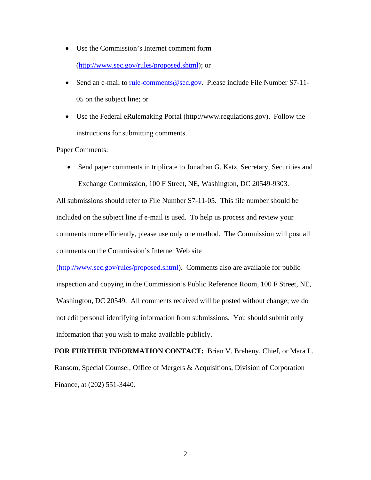- Use the Commission's Internet comment form (http://www.sec.gov/rules/proposed.shtml); or
- Send an e-mail to rule-comments@sec.gov. Please include File Number S7-11-05 on the subject line; or
- Use the Federal eRulemaking Portal (http://www.regulations.gov). Follow the instructions for submitting comments.

## Paper Comments:

• Send paper comments in triplicate to Jonathan G. Katz, Secretary, Securities and Exchange Commission, 100 F Street, NE, Washington, DC 20549-9303.

All submissions should refer to File Number S7-11-05**.** This file number should be included on the subject line if e-mail is used. To help us process and review your comments more efficiently, please use only one method. The Commission will post all comments on the Commission's Internet Web site

(http://www.sec.gov/rules/proposed.shtml). Comments also are available for public inspection and copying in the Commission's Public Reference Room, 100 F Street, NE, Washington, DC 20549. All comments received will be posted without change; we do not edit personal identifying information from submissions. You should submit only information that you wish to make available publicly.

**FOR FURTHER INFORMATION CONTACT:** Brian V. Breheny, Chief, or Mara L. Ransom, Special Counsel, Office of Mergers & Acquisitions, Division of Corporation Finance, at (202) 551-3440.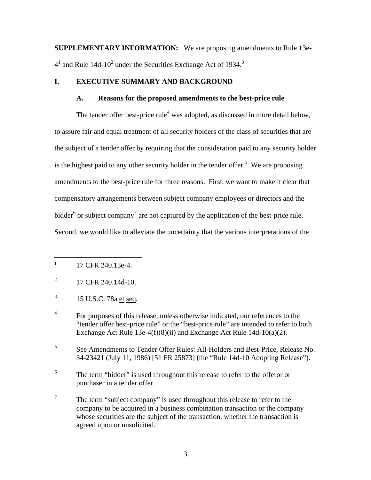**SUPPLEMENTARY INFORMATION:** We are proposing amendments to Rule 13e- $4<sup>1</sup>$  and Rule 14d-10<sup>2</sup> under the Securities Exchange Act of 1934.<sup>3</sup>

# **I. EXECUTIVE SUMMARY AND BACKGROUND**

#### **A. Reasons for the proposed amendments to the best-price rule**

The tender offer best-price rule<sup>4</sup> was adopted, as discussed in more detail below, to assure fair and equal treatment of all security holders of the class of securities that are the subject of a tender offer by requiring that the consideration paid to any security holder is the highest paid to any other security holder in the tender offer.<sup>5</sup> We are proposing amendments to the best-price rule for three reasons. First, we want to make it clear that compensatory arrangements between subject company employees or directors and the bidder<sup>6</sup> or subject company<sup>7</sup> are not captured by the application of the best-price rule. Second, we would like to alleviate the uncertainty that the various interpretations of the

 $\overline{a}$ 

5 See Amendments to Tender Offer Rules: All-Holders and Best-Price, Release No. 34-23421 (July 11, 1986) [51 FR 25873] (the "Rule 14d-10 Adopting Release").

6 The term "bidder" is used throughout this release to refer to the offeror or purchaser in a tender offer.

<sup>1</sup> 17 CFR 240.13e-4.

 $^{2}$  17 CFR 240.14d-10.

<sup>3</sup> 15 U.S.C. 78a et seq*.*

<sup>4</sup> For purposes of this release, unless otherwise indicated, our references to the "tender offer best-price rule" or the "best-price rule" are intended to refer to both Exchange Act Rule 13e-4(f)(8)(ii) and Exchange Act Rule 14d-10(a)(2).

<sup>7</sup> The term "subject company" is used throughout this release to refer to the company to be acquired in a business combination transaction or the company whose securities are the subject of the transaction, whether the transaction is agreed upon or unsolicited.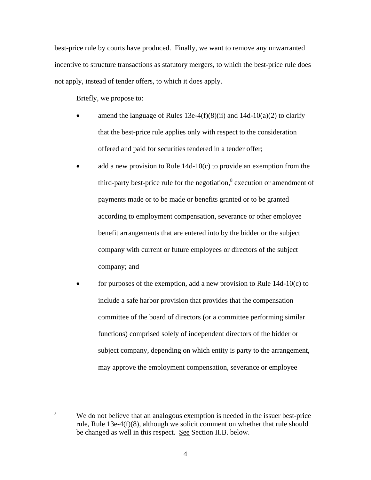best-price rule by courts have produced. Finally, we want to remove any unwarranted incentive to structure transactions as statutory mergers, to which the best-price rule does not apply, instead of tender offers, to which it does apply.

Briefly, we propose to:

 $\overline{a}$ 

- amend the language of Rules 13e-4(f)(8)(ii) and 14d-10(a)(2) to clarify that the best-price rule applies only with respect to the consideration offered and paid for securities tendered in a tender offer;
- add a new provision to Rule  $14d-10(c)$  to provide an exemption from the third-party best-price rule for the negotiation, $\frac{8}{3}$  execution or amendment of payments made or to be made or benefits granted or to be granted according to employment compensation, severance or other employee benefit arrangements that are entered into by the bidder or the subject company with current or future employees or directors of the subject company; and
- for purposes of the exemption, add a new provision to Rule  $14d-10(c)$  to include a safe harbor provision that provides that the compensation committee of the board of directors (or a committee performing similar functions) comprised solely of independent directors of the bidder or subject company, depending on which entity is party to the arrangement, may approve the employment compensation, severance or employee

<sup>8</sup> We do not believe that an analogous exemption is needed in the issuer best-price rule, Rule 13e-4(f)(8), although we solicit comment on whether that rule should be changed as well in this respect. See Section II.B. below.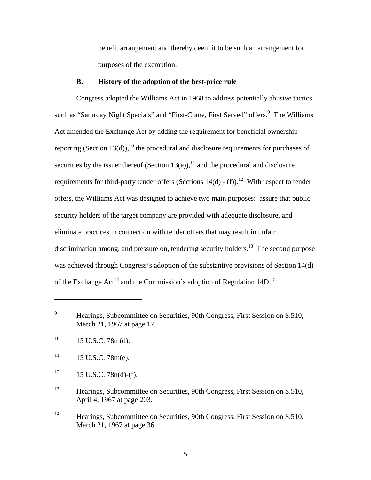benefit arrangement and thereby deem it to be such an arrangement for purposes of the exemption.

## **B. History of the adoption of the best-price rule**

Congress adopted the Williams Act in 1968 to address potentially abusive tactics such as "Saturday Night Specials" and "First-Come, First Served" offers.<sup>9</sup> The Williams Act amended the Exchange Act by adding the requirement for beneficial ownership reporting (Section 13(d)),<sup>10</sup> the procedural and disclosure requirements for purchases of securities by the issuer thereof (Section 13(e)),<sup>11</sup> and the procedural and disclosure requirements for third-party tender offers (Sections  $14(d)$  - (f)).<sup>12</sup> With respect to tender offers, the Williams Act was designed to achieve two main purposes: assure that public security holders of the target company are provided with adequate disclosure, and eliminate practices in connection with tender offers that may result in unfair discrimination among, and pressure on, tendering security holders.<sup>13</sup> The second purpose was achieved through Congress's adoption of the substantive provisions of Section 14(d) of the Exchange  $Act^{14}$  and the Commission's adoption of Regulation 14D.<sup>15</sup>

<sup>9</sup> Hearings, Subcommittee on Securities, 90th Congress, First Session on S.510, March 21, 1967 at page 17.

 $10$  15 U.S.C. 78m(d).

 $11 \qquad 15 \text{ U.S.C. } 78 \text{m(e)}.$ 

 $12 \qquad 15 \text{ U.S.C. } 78n(d)$ -(f).

<sup>&</sup>lt;sup>13</sup> Hearings, Subcommittee on Securities, 90th Congress, First Session on S.510, April 4, 1967 at page 203.

<sup>&</sup>lt;sup>14</sup> Hearings, Subcommittee on Securities, 90th Congress, First Session on S.510, March 21, 1967 at page 36.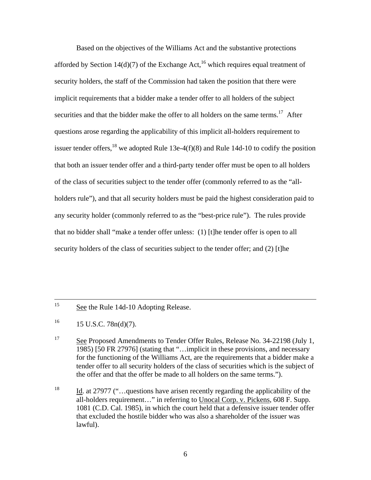Based on the objectives of the Williams Act and the substantive protections afforded by Section 14(d)(7) of the Exchange Act,<sup>16</sup> which requires equal treatment of security holders, the staff of the Commission had taken the position that there were implicit requirements that a bidder make a tender offer to all holders of the subject securities and that the bidder make the offer to all holders on the same terms.<sup>17</sup> After questions arose regarding the applicability of this implicit all-holders requirement to issuer tender offers,<sup>18</sup> we adopted Rule 13e-4(f)(8) and Rule 14d-10 to codify the position that both an issuer tender offer and a third-party tender offer must be open to all holders of the class of securities subject to the tender offer (commonly referred to as the "allholders rule"), and that all security holders must be paid the highest consideration paid to any security holder (commonly referred to as the "best-price rule"). The rules provide that no bidder shall "make a tender offer unless: (1) [t]he tender offer is open to all security holders of the class of securities subject to the tender offer; and (2) [t]he

<sup>15</sup> See the Rule 14d-10 Adopting Release.

 $^{16}$  15 U.S.C. 78n(d)(7).

<sup>&</sup>lt;sup>17</sup> See Proposed Amendments to Tender Offer Rules, Release No. 34-22198 (July 1, 1985) [50 FR 27976] (stating that "…implicit in these provisions, and necessary for the functioning of the Williams Act, are the requirements that a bidder make a tender offer to all security holders of the class of securities which is the subject of the offer and that the offer be made to all holders on the same terms.").

<sup>&</sup>lt;sup>18</sup> Id. at 27977 ("...guestions have arisen recently regarding the applicability of the all-holders requirement…" in referring to Unocal Corp. v. Pickens, 608 F. Supp. 1081 (C.D. Cal. 1985), in which the court held that a defensive issuer tender offer that excluded the hostile bidder who was also a shareholder of the issuer was lawful).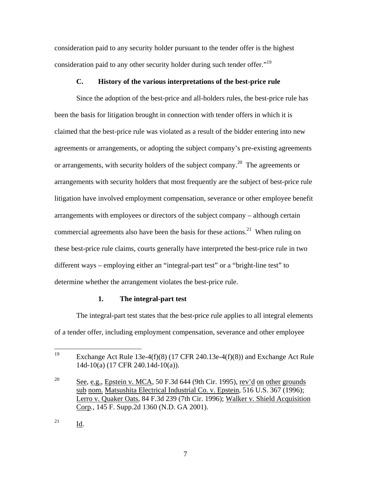consideration paid to any security holder pursuant to the tender offer is the highest consideration paid to any other security holder during such tender offer."<sup>19</sup>

# **C. History of the various interpretations of the best-price rule**

Since the adoption of the best-price and all-holders rules, the best-price rule has been the basis for litigation brought in connection with tender offers in which it is claimed that the best-price rule was violated as a result of the bidder entering into new agreements or arrangements, or adopting the subject company's pre-existing agreements or arrangements, with security holders of the subject company.<sup>20</sup> The agreements or arrangements with security holders that most frequently are the subject of best-price rule litigation have involved employment compensation, severance or other employee benefit arrangements with employees or directors of the subject company – although certain commercial agreements also have been the basis for these actions.<sup>21</sup> When ruling on these best-price rule claims, courts generally have interpreted the best-price rule in two different ways – employing either an "integral-part test" or a "bright-line test" to determine whether the arrangement violates the best-price rule.

# **1. The integral-part test**

The integral-part test states that the best-price rule applies to all integral elements of a tender offer, including employment compensation, severance and other employee

<sup>19</sup> Exchange Act Rule 13e-4(f)(8) (17 CFR 240.13e-4(f)(8)) and Exchange Act Rule 14d-10(a) (17 CFR 240.14d-10(a)).

<sup>&</sup>lt;sup>20</sup> See, e.g., Epstein v. MCA, 50 F.3d 644 (9th Cir. 1995), rev'd on other grounds sub nom. Matsushita Electrical Industrial Co. v. Epstein, 516 U.S. 367 (1996); Lerro v. Quaker Oats, 84 F.3d 239 (7th Cir. 1996); Walker v. Shield Acquisition Corp*.,* 145 F. Supp.2d 1360 (N.D. GA 2001).

 $^{21}$  Id.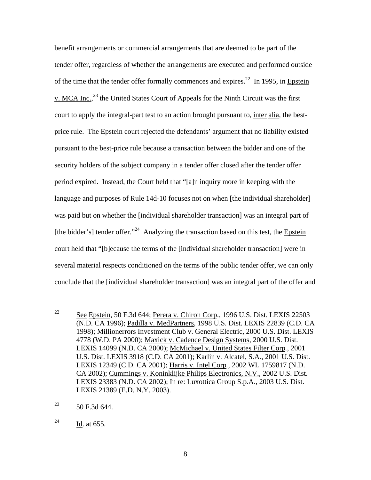benefit arrangements or commercial arrangements that are deemed to be part of the tender offer, regardless of whether the arrangements are executed and performed outside of the time that the tender offer formally commences and expires.<sup>22</sup> In 1995, in Epstein v. MCA Inc.,<sup>23</sup> the United States Court of Appeals for the Ninth Circuit was the first court to apply the integral-part test to an action brought pursuant to, inter alia, the bestprice rule. The Epstein court rejected the defendants' argument that no liability existed pursuant to the best-price rule because a transaction between the bidder and one of the security holders of the subject company in a tender offer closed after the tender offer period expired. Instead, the Court held that "[a]n inquiry more in keeping with the language and purposes of Rule 14d-10 focuses not on when [the individual shareholder] was paid but on whether the [individual shareholder transaction] was an integral part of [the bidder's] tender offer."<sup>24</sup> Analyzing the transaction based on this test, the Epstein court held that "[b]ecause the terms of the [individual shareholder transaction] were in several material respects conditioned on the terms of the public tender offer, we can only conclude that the [individual shareholder transaction] was an integral part of the offer and

<sup>22</sup> See Epstein, 50 F.3d 644; Perera v. Chiron Corp., 1996 U.S. Dist. LEXIS 22503 (N.D. CA 1996); Padilla v. MedPartners, 1998 U.S. Dist. LEXIS 22839 (C.D. CA 1998); Millionerrors Investment Club v. General Electric, 2000 U.S. Dist. LEXIS 4778 (W.D. PA 2000); Maxick v. Cadence Design Systems, 2000 U.S. Dist. LEXIS 14099 (N.D. CA 2000); McMichael v. United States Filter Corp*.*, 2001 U.S. Dist. LEXIS 3918 (C.D. CA 2001); Karlin v. Alcatel, S.A., 2001 U.S. Dist. LEXIS 12349 (C.D. CA 2001); Harris v. Intel Corp*.*, 2002 WL 1759817 (N.D. CA 2002); Cummings v. Koninklijke Philips Electronics, N.V., 2002 U.S. Dist. LEXIS 23383 (N.D. CA 2002); In re: Luxottica Group S.p.A., 2003 U.S. Dist. LEXIS 21389 (E.D. N.Y. 2003).

<sup>&</sup>lt;sup>23</sup> 50 F.3d 644.

 $^{24}$  Id. at 655.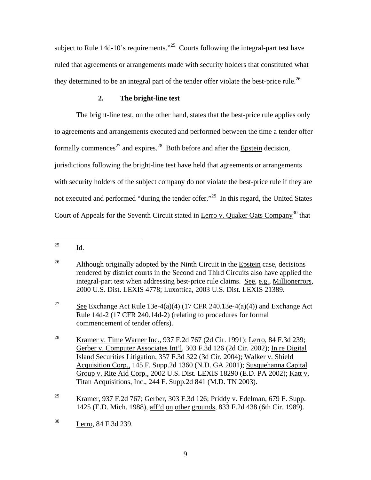subject to Rule 14d-10's requirements."<sup>25</sup> Courts following the integral-part test have ruled that agreements or arrangements made with security holders that constituted what they determined to be an integral part of the tender offer violate the best-price rule.<sup>26</sup>

# **2. The bright-line test**

The bright-line test, on the other hand, states that the best-price rule applies only to agreements and arrangements executed and performed between the time a tender offer formally commences<sup>27</sup> and expires.<sup>28</sup> Both before and after the **Epstein** decision, jurisdictions following the bright-line test have held that agreements or arrangements with security holders of the subject company do not violate the best-price rule if they are not executed and performed "during the tender offer."<sup>29</sup> In this regard, the United States Court of Appeals for the Seventh Circuit stated in Lerro v. Quaker Oats Company<sup>30</sup> that

<sup>25</sup> Id.

<sup>&</sup>lt;sup>26</sup> Although originally adopted by the Ninth Circuit in the Epstein case, decisions rendered by district courts in the Second and Third Circuits also have applied the integral-part test when addressing best-price rule claims. See, e.g., Millionerrors, 2000 U.S. Dist. LEXIS 4778; Luxottica, 2003 U.S. Dist. LEXIS 21389.

<sup>&</sup>lt;sup>27</sup> See Exchange Act Rule 13e-4(a)(4) (17 CFR 240.13e-4(a)(4)) and Exchange Act Rule 14d-2 (17 CFR 240.14d-2) (relating to procedures for formal commencement of tender offers).

<sup>&</sup>lt;sup>28</sup> Kramer v. Time Warner Inc., 937 F.2d 767 (2d Cir. 1991); Lerro, 84 F.3d 239; Gerber v. Computer Associates Int'l, 303 F.3d 126 (2d Cir. 2002); In re Digital Island Securities Litigation, 357 F.3d 322 (3d Cir. 2004); Walker v. Shield Acquisition Corp., 145 F. Supp.2d 1360 (N.D. GA 2001); Susquehanna Capital Group v. Rite Aid Corp., 2002 U.S. Dist. LEXIS 18290 (E.D. PA 2002); Katt v. Titan Acquisitions, Inc., 244 F. Supp.2d 841 (M.D. TN 2003).

<sup>29</sup> Kramer, 937 F.2d 767; Gerber*,* 303 F.3d 126; Priddy v. Edelman, 679 F. Supp. 1425 (E.D. Mich. 1988), aff'd on other grounds, 833 F.2d 438 (6th Cir. 1989).

<sup>30</sup> Lerro, 84 F.3d 239.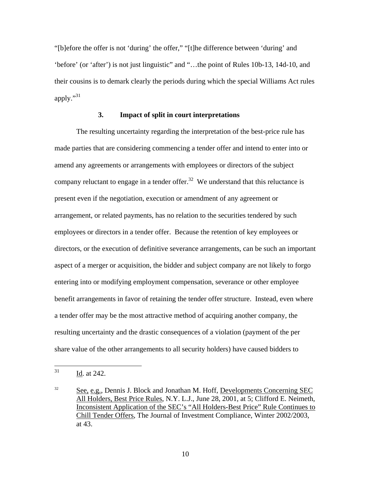"[b]efore the offer is not 'during' the offer," "[t]he difference between 'during' and 'before' (or 'after') is not just linguistic" and "…the point of Rules 10b-13, 14d-10, and their cousins is to demark clearly the periods during which the special Williams Act rules apply." $31$ 

# **3. Impact of split in court interpretations**

 The resulting uncertainty regarding the interpretation of the best-price rule has made parties that are considering commencing a tender offer and intend to enter into or amend any agreements or arrangements with employees or directors of the subject company reluctant to engage in a tender offer.<sup>32</sup> We understand that this reluctance is present even if the negotiation, execution or amendment of any agreement or arrangement, or related payments, has no relation to the securities tendered by such employees or directors in a tender offer. Because the retention of key employees or directors, or the execution of definitive severance arrangements, can be such an important aspect of a merger or acquisition, the bidder and subject company are not likely to forgo entering into or modifying employment compensation, severance or other employee benefit arrangements in favor of retaining the tender offer structure. Instead, even where a tender offer may be the most attractive method of acquiring another company, the resulting uncertainty and the drastic consequences of a violation (payment of the per share value of the other arrangements to all security holders) have caused bidders to

<sup>31</sup> Id. at 242.

 $32$  See, e.g., Dennis J. Block and Jonathan M. Hoff, Developments Concerning SEC All Holders, Best Price Rules, N.Y. L.J., June 28, 2001, at 5; Clifford E. Neimeth, Inconsistent Application of the SEC's "All Holders-Best Price" Rule Continues to Chill Tender Offers, The Journal of Investment Compliance, Winter 2002/2003, at 43.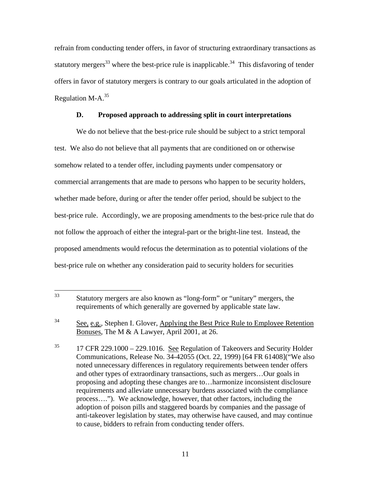refrain from conducting tender offers, in favor of structuring extraordinary transactions as statutory mergers<sup>33</sup> where the best-price rule is inapplicable.<sup>34</sup> This disfavoring of tender offers in favor of statutory mergers is contrary to our goals articulated in the adoption of Regulation M-A. $^{35}$ 

## **D. Proposed approach to addressing split in court interpretations**

We do not believe that the best-price rule should be subject to a strict temporal test. We also do not believe that all payments that are conditioned on or otherwise somehow related to a tender offer, including payments under compensatory or commercial arrangements that are made to persons who happen to be security holders, whether made before, during or after the tender offer period, should be subject to the best-price rule. Accordingly, we are proposing amendments to the best-price rule that do not follow the approach of either the integral-part or the bright-line test. Instead, the proposed amendments would refocus the determination as to potential violations of the best-price rule on whether any consideration paid to security holders for securities

<sup>33</sup> Statutory mergers are also known as "long-form" or "unitary" mergers, the requirements of which generally are governed by applicable state law.

<sup>&</sup>lt;sup>34</sup> See, e.g., Stephen I. Glover, Applying the Best Price Rule to Employee Retention Bonuses, The M & A Lawyer, April 2001, at 26.

<sup>&</sup>lt;sup>35</sup> 17 CFR 229.1000 – 229.1016. See Regulation of Takeovers and Security Holder Communications, Release No. 34-42055 (Oct. 22, 1999) [64 FR 61408]("We also noted unnecessary differences in regulatory requirements between tender offers and other types of extraordinary transactions, such as mergers…Our goals in proposing and adopting these changes are to…harmonize inconsistent disclosure requirements and alleviate unnecessary burdens associated with the compliance process…."). We acknowledge, however, that other factors, including the adoption of poison pills and staggered boards by companies and the passage of anti-takeover legislation by states, may otherwise have caused, and may continue to cause, bidders to refrain from conducting tender offers.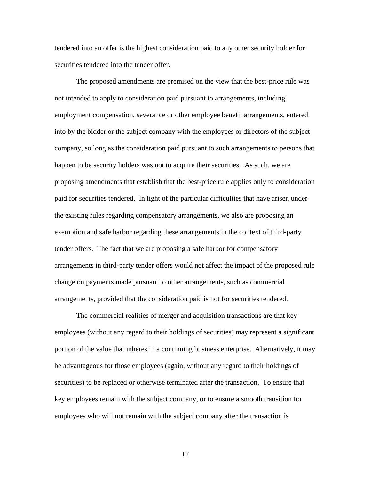tendered into an offer is the highest consideration paid to any other security holder for securities tendered into the tender offer.

The proposed amendments are premised on the view that the best-price rule was not intended to apply to consideration paid pursuant to arrangements, including employment compensation, severance or other employee benefit arrangements, entered into by the bidder or the subject company with the employees or directors of the subject company, so long as the consideration paid pursuant to such arrangements to persons that happen to be security holders was not to acquire their securities. As such, we are proposing amendments that establish that the best-price rule applies only to consideration paid for securities tendered. In light of the particular difficulties that have arisen under the existing rules regarding compensatory arrangements, we also are proposing an exemption and safe harbor regarding these arrangements in the context of third-party tender offers. The fact that we are proposing a safe harbor for compensatory arrangements in third-party tender offers would not affect the impact of the proposed rule change on payments made pursuant to other arrangements, such as commercial arrangements, provided that the consideration paid is not for securities tendered.

The commercial realities of merger and acquisition transactions are that key employees (without any regard to their holdings of securities) may represent a significant portion of the value that inheres in a continuing business enterprise. Alternatively, it may be advantageous for those employees (again, without any regard to their holdings of securities) to be replaced or otherwise terminated after the transaction. To ensure that key employees remain with the subject company, or to ensure a smooth transition for employees who will not remain with the subject company after the transaction is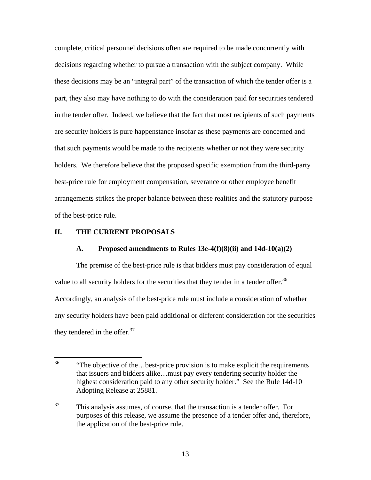complete, critical personnel decisions often are required to be made concurrently with decisions regarding whether to pursue a transaction with the subject company. While these decisions may be an "integral part" of the transaction of which the tender offer is a part, they also may have nothing to do with the consideration paid for securities tendered in the tender offer. Indeed, we believe that the fact that most recipients of such payments are security holders is pure happenstance insofar as these payments are concerned and that such payments would be made to the recipients whether or not they were security holders. We therefore believe that the proposed specific exemption from the third-party best-price rule for employment compensation, severance or other employee benefit arrangements strikes the proper balance between these realities and the statutory purpose of the best-price rule.

## **II. THE CURRENT PROPOSALS**

## **A. Proposed amendments to Rules 13e-4(f)(8)(ii) and 14d-10(a)(2)**

The premise of the best-price rule is that bidders must pay consideration of equal value to all security holders for the securities that they tender in a tender offer.<sup>36</sup> Accordingly, an analysis of the best-price rule must include a consideration of whether any security holders have been paid additional or different consideration for the securities they tendered in the offer. $37$ 

<sup>36</sup> <sup>36</sup> "The objective of the…best-price provision is to make explicit the requirements that issuers and bidders alike…must pay every tendering security holder the highest consideration paid to any other security holder." See the Rule 14d-10 Adopting Release at 25881.

 $37$  This analysis assumes, of course, that the transaction is a tender offer. For purposes of this release, we assume the presence of a tender offer and, therefore, the application of the best-price rule.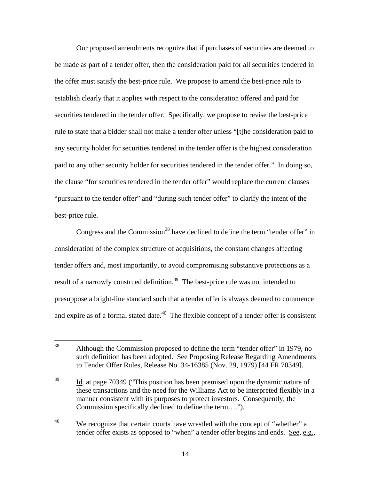Our proposed amendments recognize that if purchases of securities are deemed to be made as part of a tender offer, then the consideration paid for all securities tendered in the offer must satisfy the best-price rule. We propose to amend the best-price rule to establish clearly that it applies with respect to the consideration offered and paid for securities tendered in the tender offer. Specifically, we propose to revise the best-price rule to state that a bidder shall not make a tender offer unless "[t]he consideration paid to any security holder for securities tendered in the tender offer is the highest consideration paid to any other security holder for securities tendered in the tender offer." In doing so, the clause "for securities tendered in the tender offer" would replace the current clauses "pursuant to the tender offer" and "during such tender offer" to clarify the intent of the best-price rule.

Congress and the Commission<sup>38</sup> have declined to define the term "tender offer" in consideration of the complex structure of acquisitions, the constant changes affecting tender offers and, most importantly, to avoid compromising substantive protections as a result of a narrowly construed definition.<sup>39</sup> The best-price rule was not intended to presuppose a bright-line standard such that a tender offer is always deemed to commence and expire as of a formal stated date. $40$  The flexible concept of a tender offer is consistent

<sup>38</sup> 38 Although the Commission proposed to define the term "tender offer" in 1979, no such definition has been adopted. See Proposing Release Regarding Amendments to Tender Offer Rules, Release No. 34-16385 (Nov. 29, 1979) [44 FR 70349].

<sup>&</sup>lt;sup>39</sup> Id. at page 70349 ("This position has been premised upon the dynamic nature of these transactions and the need for the Williams Act to be interpreted flexibly in a manner consistent with its purposes to protect investors. Consequently, the Commission specifically declined to define the term….").

<sup>&</sup>lt;sup>40</sup> We recognize that certain courts have wrestled with the concept of "whether" a tender offer exists as opposed to "when" a tender offer begins and ends. See, e.g.,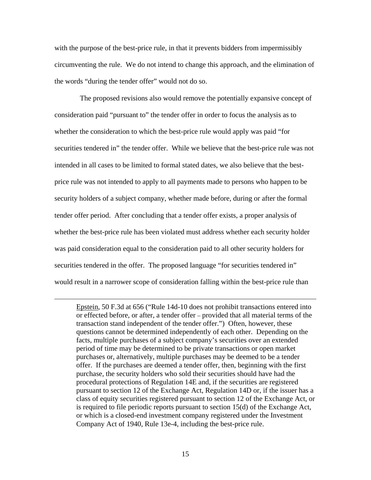with the purpose of the best-price rule, in that it prevents bidders from impermissibly circumventing the rule. We do not intend to change this approach, and the elimination of the words "during the tender offer" would not do so.

 The proposed revisions also would remove the potentially expansive concept of consideration paid "pursuant to" the tender offer in order to focus the analysis as to whether the consideration to which the best-price rule would apply was paid "for securities tendered in" the tender offer. While we believe that the best-price rule was not intended in all cases to be limited to formal stated dates, we also believe that the bestprice rule was not intended to apply to all payments made to persons who happen to be security holders of a subject company, whether made before, during or after the formal tender offer period. After concluding that a tender offer exists, a proper analysis of whether the best-price rule has been violated must address whether each security holder was paid consideration equal to the consideration paid to all other security holders for securities tendered in the offer. The proposed language "for securities tendered in" would result in a narrower scope of consideration falling within the best-price rule than

 $\overline{a}$ 

Epstein, 50 F.3d at 656 ("Rule 14d-10 does not prohibit transactions entered into or effected before, or after, a tender offer – provided that all material terms of the transaction stand independent of the tender offer.") Often, however, these questions cannot be determined independently of each other. Depending on the facts, multiple purchases of a subject company's securities over an extended period of time may be determined to be private transactions or open market purchases or, alternatively, multiple purchases may be deemed to be a tender offer. If the purchases are deemed a tender offer, then, beginning with the first purchase, the security holders who sold their securities should have had the procedural protections of Regulation 14E and, if the securities are registered pursuant to section 12 of the Exchange Act, Regulation 14D or, if the issuer has a class of equity securities registered pursuant to section 12 of the Exchange Act, or is required to file periodic reports pursuant to section 15(d) of the Exchange Act, or which is a closed-end investment company registered under the Investment Company Act of 1940, Rule 13e-4, including the best-price rule.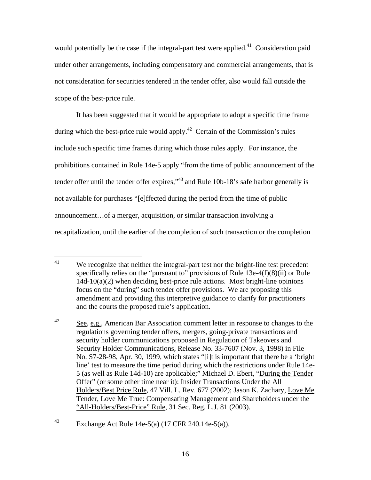would potentially be the case if the integral-part test were applied.<sup>41</sup> Consideration paid under other arrangements, including compensatory and commercial arrangements, that is not consideration for securities tendered in the tender offer, also would fall outside the scope of the best-price rule.

It has been suggested that it would be appropriate to adopt a specific time frame during which the best-price rule would apply.<sup>42</sup> Certain of the Commission's rules include such specific time frames during which those rules apply. For instance, the prohibitions contained in Rule 14e-5 apply "from the time of public announcement of the tender offer until the tender offer expires,"<sup>43</sup> and Rule 10b-18's safe harbor generally is not available for purchases "[e]ffected during the period from the time of public announcement…of a merger, acquisition, or similar transaction involving a recapitalization, until the earlier of the completion of such transaction or the completion

<sup>41</sup> We recognize that neither the integral-part test nor the bright-line test precedent specifically relies on the "pursuant to" provisions of Rule 13e-4(f)(8)(ii) or Rule  $14d-10(a)(2)$  when deciding best-price rule actions. Most bright-line opinions focus on the "during" such tender offer provisions. We are proposing this amendment and providing this interpretive guidance to clarify for practitioners and the courts the proposed rule's application.

<sup>42</sup> See*,* e.g.*,* American Bar Association comment letter in response to changes to the regulations governing tender offers, mergers, going-private transactions and security holder communications proposed in Regulation of Takeovers and Security Holder Communications, Release No. 33-7607 (Nov. 3, 1998) in File No. S7-28-98, Apr. 30, 1999, which states "[i]t is important that there be a 'bright line' test to measure the time period during which the restrictions under Rule 14e-5 (as well as Rule 14d-10) are applicable;" Michael D. Ebert, "During the Tender Offer" (or some other time near it): Insider Transactions Under the All Holders/Best Price Rule, 47 Vill. L. Rev. 677 (2002); Jason K. Zachary, Love Me Tender, Love Me True: Compensating Management and Shareholders under the "All-Holders/Best-Price" Rule, 31 Sec. Reg. L.J. 81 (2003).

<sup>43</sup> Exchange Act Rule 14e-5(a) (17 CFR 240.14e-5(a)).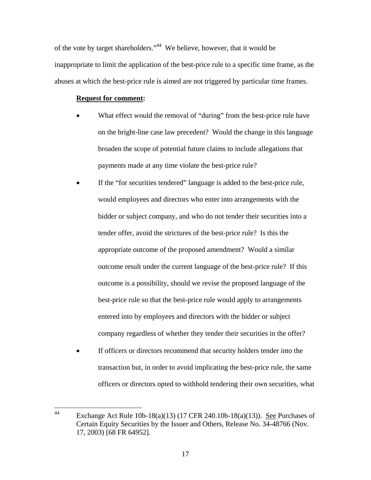of the vote by target shareholders."44 We believe, however, that it would be inappropriate to limit the application of the best-price rule to a specific time frame, as the abuses at which the best-price rule is aimed are not triggered by particular time frames.

# **Request for comment:**

- What effect would the removal of "during" from the best-price rule have on the bright-line case law precedent? Would the change in this language broaden the scope of potential future claims to include allegations that payments made at any time violate the best-price rule?
- If the "for securities tendered" language is added to the best-price rule, would employees and directors who enter into arrangements with the bidder or subject company, and who do not tender their securities into a tender offer, avoid the strictures of the best-price rule? Is this the appropriate outcome of the proposed amendment? Would a similar outcome result under the current language of the best-price rule? If this outcome is a possibility, should we revise the proposed language of the best-price rule so that the best-price rule would apply to arrangements entered into by employees and directors with the bidder or subject company regardless of whether they tender their securities in the offer?
- If officers or directors recommend that security holders tender into the transaction but, in order to avoid implicating the best-price rule, the same officers or directors opted to withhold tendering their own securities, what

 $44$ Exchange Act Rule  $10b-18(a)(13)$  (17 CFR 240.10b-18(a)(13)). See Purchases of Certain Equity Securities by the Issuer and Others, Release No. 34-48766 (Nov. 17, 2003) [68 FR 64952].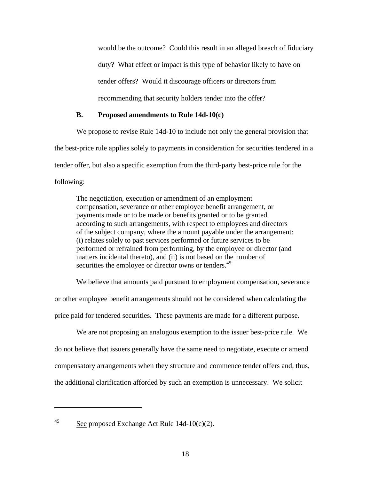would be the outcome? Could this result in an alleged breach of fiduciary duty? What effect or impact is this type of behavior likely to have on tender offers? Would it discourage officers or directors from recommending that security holders tender into the offer?

# **B. Proposed amendments to Rule 14d-10(c)**

We propose to revise Rule 14d-10 to include not only the general provision that the best-price rule applies solely to payments in consideration for securities tendered in a tender offer, but also a specific exemption from the third-party best-price rule for the following:

The negotiation, execution or amendment of an employment compensation, severance or other employee benefit arrangement, or payments made or to be made or benefits granted or to be granted according to such arrangements, with respect to employees and directors of the subject company, where the amount payable under the arrangement: (i) relates solely to past services performed or future services to be performed or refrained from performing, by the employee or director (and matters incidental thereto), and (ii) is not based on the number of securities the employee or director owns or tenders.<sup>45</sup>

We believe that amounts paid pursuant to employment compensation, severance or other employee benefit arrangements should not be considered when calculating the price paid for tendered securities. These payments are made for a different purpose.

We are not proposing an analogous exemption to the issuer best-price rule. We do not believe that issuers generally have the same need to negotiate, execute or amend compensatory arrangements when they structure and commence tender offers and, thus, the additional clarification afforded by such an exemption is unnecessary. We solicit

 $\overline{a}$ 

<sup>&</sup>lt;sup>45</sup> See proposed Exchange Act Rule  $14d-10(c)(2)$ .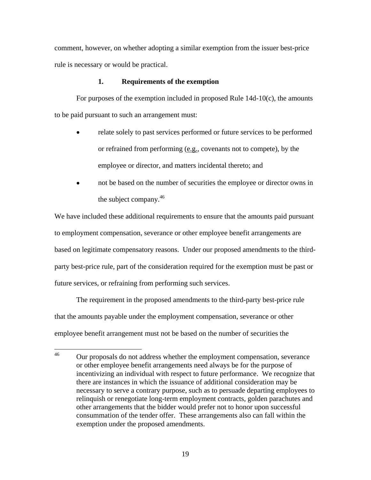comment, however, on whether adopting a similar exemption from the issuer best-price rule is necessary or would be practical.

## **1. Requirements of the exemption**

For purposes of the exemption included in proposed Rule 14d-10(c), the amounts to be paid pursuant to such an arrangement must:

- relate solely to past services performed or future services to be performed or refrained from performing (e.g., covenants not to compete), by the employee or director, and matters incidental thereto; and
- not be based on the number of securities the employee or director owns in the subject company.46

We have included these additional requirements to ensure that the amounts paid pursuant to employment compensation, severance or other employee benefit arrangements are based on legitimate compensatory reasons. Under our proposed amendments to the thirdparty best-price rule, part of the consideration required for the exemption must be past or future services, or refraining from performing such services.

The requirement in the proposed amendments to the third-party best-price rule that the amounts payable under the employment compensation, severance or other employee benefit arrangement must not be based on the number of securities the

 $46\text{ }$ 46 Our proposals do not address whether the employment compensation, severance or other employee benefit arrangements need always be for the purpose of incentivizing an individual with respect to future performance. We recognize that there are instances in which the issuance of additional consideration may be necessary to serve a contrary purpose, such as to persuade departing employees to relinquish or renegotiate long-term employment contracts, golden parachutes and other arrangements that the bidder would prefer not to honor upon successful consummation of the tender offer. These arrangements also can fall within the exemption under the proposed amendments.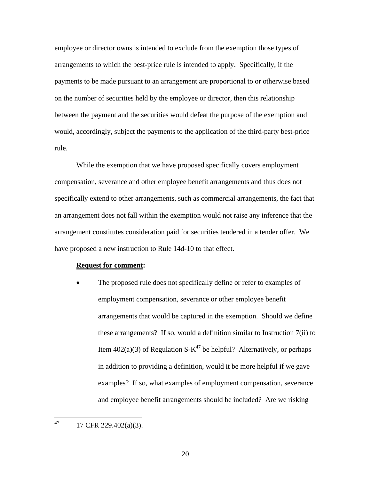employee or director owns is intended to exclude from the exemption those types of arrangements to which the best-price rule is intended to apply. Specifically, if the payments to be made pursuant to an arrangement are proportional to or otherwise based on the number of securities held by the employee or director, then this relationship between the payment and the securities would defeat the purpose of the exemption and would, accordingly, subject the payments to the application of the third-party best-price rule.

While the exemption that we have proposed specifically covers employment compensation, severance and other employee benefit arrangements and thus does not specifically extend to other arrangements, such as commercial arrangements, the fact that an arrangement does not fall within the exemption would not raise any inference that the arrangement constitutes consideration paid for securities tendered in a tender offer. We have proposed a new instruction to Rule 14d-10 to that effect.

#### **Request for comment:**

The proposed rule does not specifically define or refer to examples of employment compensation, severance or other employee benefit arrangements that would be captured in the exemption. Should we define these arrangements? If so, would a definition similar to Instruction 7(ii) to Item 402(a)(3) of Regulation S- $K^{47}$  be helpful? Alternatively, or perhaps in addition to providing a definition, would it be more helpful if we gave examples? If so, what examples of employment compensation, severance and employee benefit arrangements should be included? Are we risking

47 47 17 CFR 229.402(a)(3).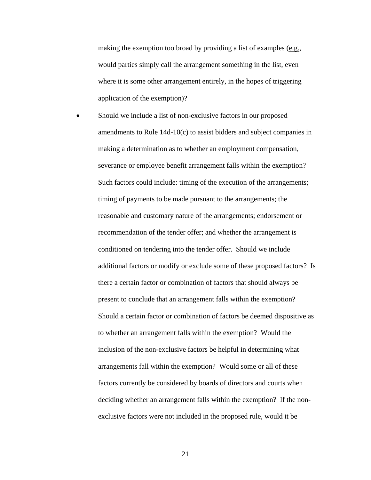making the exemption too broad by providing a list of examples (e.g., would parties simply call the arrangement something in the list, even where it is some other arrangement entirely, in the hopes of triggering application of the exemption)?

Should we include a list of non-exclusive factors in our proposed amendments to Rule 14d-10(c) to assist bidders and subject companies in making a determination as to whether an employment compensation, severance or employee benefit arrangement falls within the exemption? Such factors could include: timing of the execution of the arrangements; timing of payments to be made pursuant to the arrangements; the reasonable and customary nature of the arrangements; endorsement or recommendation of the tender offer; and whether the arrangement is conditioned on tendering into the tender offer. Should we include additional factors or modify or exclude some of these proposed factors? Is there a certain factor or combination of factors that should always be present to conclude that an arrangement falls within the exemption? Should a certain factor or combination of factors be deemed dispositive as to whether an arrangement falls within the exemption? Would the inclusion of the non-exclusive factors be helpful in determining what arrangements fall within the exemption? Would some or all of these factors currently be considered by boards of directors and courts when deciding whether an arrangement falls within the exemption? If the nonexclusive factors were not included in the proposed rule, would it be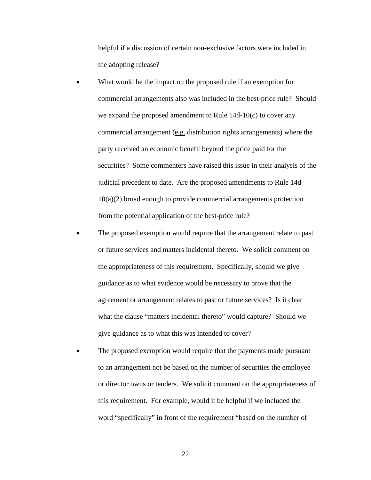helpful if a discussion of certain non-exclusive factors were included in the adopting release?

- What would be the impact on the proposed rule if an exemption for commercial arrangements also was included in the best-price rule? Should we expand the proposed amendment to Rule 14d-10(c) to cover any commercial arrangement (e.g. distribution rights arrangements) where the party received an economic benefit beyond the price paid for the securities? Some commenters have raised this issue in their analysis of the judicial precedent to date. Are the proposed amendments to Rule 14d-10(a)(2) broad enough to provide commercial arrangements protection from the potential application of the best-price rule?
- The proposed exemption would require that the arrangement relate to past or future services and matters incidental thereto. We solicit comment on the appropriateness of this requirement. Specifically, should we give guidance as to what evidence would be necessary to prove that the agreement or arrangement relates to past or future services? Is it clear what the clause "matters incidental thereto" would capture? Should we give guidance as to what this was intended to cover?
- The proposed exemption would require that the payments made pursuant to an arrangement not be based on the number of securities the employee or director owns or tenders. We solicit comment on the appropriateness of this requirement. For example, would it be helpful if we included the word "specifically" in front of the requirement "based on the number of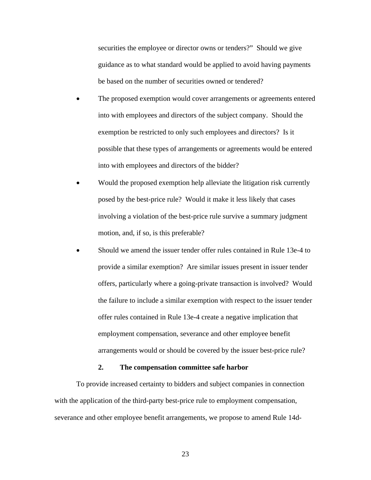securities the employee or director owns or tenders?" Should we give guidance as to what standard would be applied to avoid having payments be based on the number of securities owned or tendered?

- The proposed exemption would cover arrangements or agreements entered into with employees and directors of the subject company. Should the exemption be restricted to only such employees and directors? Is it possible that these types of arrangements or agreements would be entered into with employees and directors of the bidder?
- Would the proposed exemption help alleviate the litigation risk currently posed by the best-price rule? Would it make it less likely that cases involving a violation of the best-price rule survive a summary judgment motion, and, if so, is this preferable?
- Should we amend the issuer tender offer rules contained in Rule 13e-4 to provide a similar exemption? Are similar issues present in issuer tender offers, particularly where a going-private transaction is involved? Would the failure to include a similar exemption with respect to the issuer tender offer rules contained in Rule 13e-4 create a negative implication that employment compensation, severance and other employee benefit arrangements would or should be covered by the issuer best-price rule?

#### **2. The compensation committee safe harbor**

To provide increased certainty to bidders and subject companies in connection with the application of the third-party best-price rule to employment compensation, severance and other employee benefit arrangements, we propose to amend Rule 14d-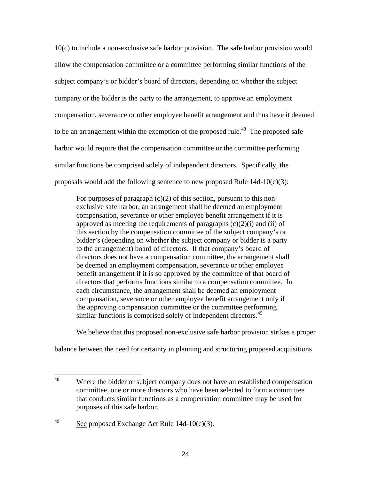10(c) to include a non-exclusive safe harbor provision. The safe harbor provision would allow the compensation committee or a committee performing similar functions of the subject company's or bidder's board of directors, depending on whether the subject company or the bidder is the party to the arrangement, to approve an employment compensation, severance or other employee benefit arrangement and thus have it deemed to be an arrangement within the exemption of the proposed rule.<sup>48</sup> The proposed safe harbor would require that the compensation committee or the committee performing similar functions be comprised solely of independent directors. Specifically, the proposals would add the following sentence to new proposed Rule 14d-10(c)(3):

For purposes of paragraph  $(c)(2)$  of this section, pursuant to this nonexclusive safe harbor, an arrangement shall be deemed an employment compensation, severance or other employee benefit arrangement if it is approved as meeting the requirements of paragraphs  $(c)(2)(i)$  and  $(ii)$  of this section by the compensation committee of the subject company's or bidder's (depending on whether the subject company or bidder is a party to the arrangement) board of directors. If that company's board of directors does not have a compensation committee, the arrangement shall be deemed an employment compensation, severance or other employee benefit arrangement if it is so approved by the committee of that board of directors that performs functions similar to a compensation committee. In each circumstance, the arrangement shall be deemed an employment compensation, severance or other employee benefit arrangement only if the approving compensation committee or the committee performing similar functions is comprised solely of independent directors.<sup>49</sup>

We believe that this proposed non-exclusive safe harbor provision strikes a proper

balance between the need for certainty in planning and structuring proposed acquisitions

<sup>48</sup> Where the bidder or subject company does not have an established compensation committee, one or more directors who have been selected to form a committee that conducts similar functions as a compensation committee may be used for purposes of this safe harbor.

 $\frac{49}{2}$  See proposed Exchange Act Rule 14d-10(c)(3).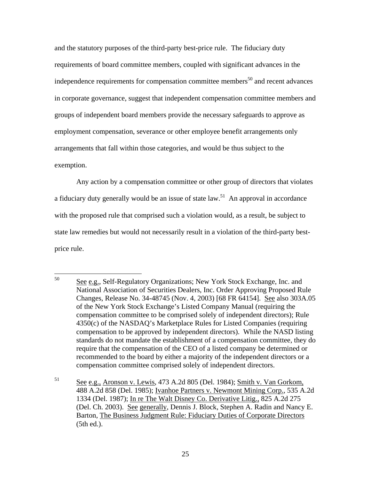and the statutory purposes of the third-party best-price rule. The fiduciary duty requirements of board committee members, coupled with significant advances in the independence requirements for compensation committee members<sup>50</sup> and recent advances in corporate governance, suggest that independent compensation committee members and groups of independent board members provide the necessary safeguards to approve as employment compensation, severance or other employee benefit arrangements only arrangements that fall within those categories, and would be thus subject to the exemption.

Any action by a compensation committee or other group of directors that violates a fiduciary duty generally would be an issue of state law.<sup>51</sup> An approval in accordance with the proposed rule that comprised such a violation would, as a result, be subject to state law remedies but would not necessarily result in a violation of the third-party bestprice rule.

<sup>50</sup> See e.g., Self-Regulatory Organizations; New York Stock Exchange, Inc. and National Association of Securities Dealers, Inc. Order Approving Proposed Rule Changes, Release No. 34-48745 (Nov. 4, 2003) [68 FR 64154]. See also 303A.05 of the New York Stock Exchange's Listed Company Manual (requiring the compensation committee to be comprised solely of independent directors); Rule 4350(c) of the NASDAQ's Marketplace Rules for Listed Companies (requiring compensation to be approved by independent directors). While the NASD listing standards do not mandate the establishment of a compensation committee, they do require that the compensation of the CEO of a listed company be determined or recommended to the board by either a majority of the independent directors or a compensation committee comprised solely of independent directors.

<sup>51</sup> See e.g., Aronson v. Lewis, 473 A.2d 805 (Del. 1984); Smith v. Van Gorkom, 488 A.2d 858 (Del. 1985); Ivanhoe Partners v. Newmont Mining Corp., 535 A.2d 1334 (Del. 1987); In re The Walt Disney Co. Derivative Litig., 825 A.2d 275 (Del. Ch. 2003). See generally, Dennis J. Block, Stephen A. Radin and Nancy E. Barton, The Business Judgment Rule: Fiduciary Duties of Corporate Directors (5th ed.).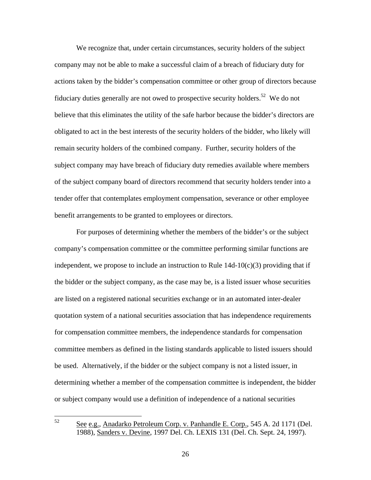We recognize that, under certain circumstances, security holders of the subject company may not be able to make a successful claim of a breach of fiduciary duty for actions taken by the bidder's compensation committee or other group of directors because fiduciary duties generally are not owed to prospective security holders.<sup>52</sup> We do not believe that this eliminates the utility of the safe harbor because the bidder's directors are obligated to act in the best interests of the security holders of the bidder, who likely will remain security holders of the combined company. Further, security holders of the subject company may have breach of fiduciary duty remedies available where members of the subject company board of directors recommend that security holders tender into a tender offer that contemplates employment compensation, severance or other employee benefit arrangements to be granted to employees or directors.

For purposes of determining whether the members of the bidder's or the subject company's compensation committee or the committee performing similar functions are independent, we propose to include an instruction to Rule  $14d-10(c)(3)$  providing that if the bidder or the subject company, as the case may be, is a listed issuer whose securities are listed on a registered national securities exchange or in an automated inter-dealer quotation system of a national securities association that has independence requirements for compensation committee members, the independence standards for compensation committee members as defined in the listing standards applicable to listed issuers should be used. Alternatively, if the bidder or the subject company is not a listed issuer, in determining whether a member of the compensation committee is independent, the bidder or subject company would use a definition of independence of a national securities

<sup>52</sup> See e.g., Anadarko Petroleum Corp. v. Panhandle E. Corp., 545 A. 2d 1171 (Del. 1988), Sanders v. Devine, 1997 Del. Ch. LEXIS 131 (Del. Ch. Sept. 24, 1997).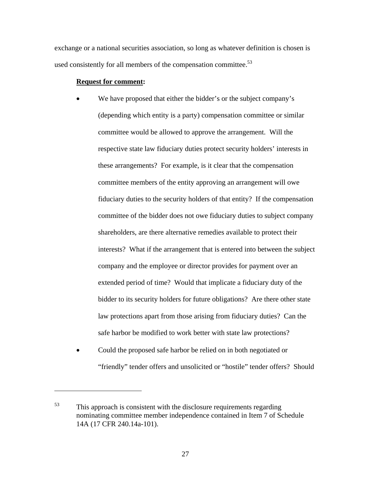exchange or a national securities association, so long as whatever definition is chosen is used consistently for all members of the compensation committee.<sup>53</sup>

## **Request for comment:**

- We have proposed that either the bidder's or the subject company's (depending which entity is a party) compensation committee or similar committee would be allowed to approve the arrangement. Will the respective state law fiduciary duties protect security holders' interests in these arrangements? For example, is it clear that the compensation committee members of the entity approving an arrangement will owe fiduciary duties to the security holders of that entity? If the compensation committee of the bidder does not owe fiduciary duties to subject company shareholders, are there alternative remedies available to protect their interests? What if the arrangement that is entered into between the subject company and the employee or director provides for payment over an extended period of time? Would that implicate a fiduciary duty of the bidder to its security holders for future obligations? Are there other state law protections apart from those arising from fiduciary duties? Can the safe harbor be modified to work better with state law protections?
- Could the proposed safe harbor be relied on in both negotiated or "friendly" tender offers and unsolicited or "hostile" tender offers? Should

 $53$  This approach is consistent with the disclosure requirements regarding nominating committee member independence contained in Item 7 of Schedule 14A (17 CFR 240.14a-101).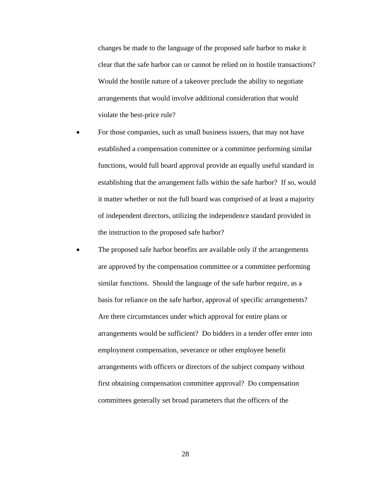changes be made to the language of the proposed safe harbor to make it clear that the safe harbor can or cannot be relied on in hostile transactions? Would the hostile nature of a takeover preclude the ability to negotiate arrangements that would involve additional consideration that would violate the best-price rule?

- For those companies, such as small business issuers, that may not have established a compensation committee or a committee performing similar functions, would full board approval provide an equally useful standard in establishing that the arrangement falls within the safe harbor? If so, would it matter whether or not the full board was comprised of at least a majority of independent directors, utilizing the independence standard provided in the instruction to the proposed safe harbor?
- The proposed safe harbor benefits are available only if the arrangements are approved by the compensation committee or a committee performing similar functions. Should the language of the safe harbor require, as a basis for reliance on the safe harbor, approval of specific arrangements? Are there circumstances under which approval for entire plans or arrangements would be sufficient? Do bidders in a tender offer enter into employment compensation, severance or other employee benefit arrangements with officers or directors of the subject company without first obtaining compensation committee approval? Do compensation committees generally set broad parameters that the officers of the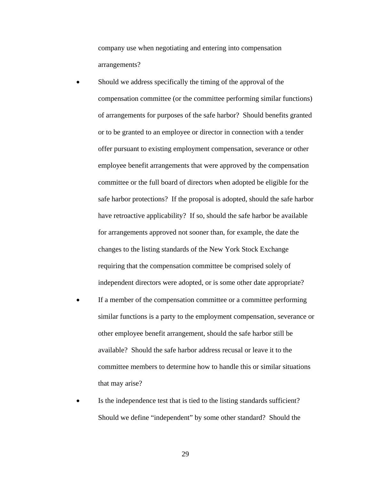company use when negotiating and entering into compensation arrangements?

- Should we address specifically the timing of the approval of the compensation committee (or the committee performing similar functions) of arrangements for purposes of the safe harbor? Should benefits granted or to be granted to an employee or director in connection with a tender offer pursuant to existing employment compensation, severance or other employee benefit arrangements that were approved by the compensation committee or the full board of directors when adopted be eligible for the safe harbor protections? If the proposal is adopted, should the safe harbor have retroactive applicability? If so, should the safe harbor be available for arrangements approved not sooner than, for example, the date the changes to the listing standards of the New York Stock Exchange requiring that the compensation committee be comprised solely of independent directors were adopted, or is some other date appropriate?
- If a member of the compensation committee or a committee performing similar functions is a party to the employment compensation, severance or other employee benefit arrangement, should the safe harbor still be available? Should the safe harbor address recusal or leave it to the committee members to determine how to handle this or similar situations that may arise?
- Is the independence test that is tied to the listing standards sufficient? Should we define "independent" by some other standard? Should the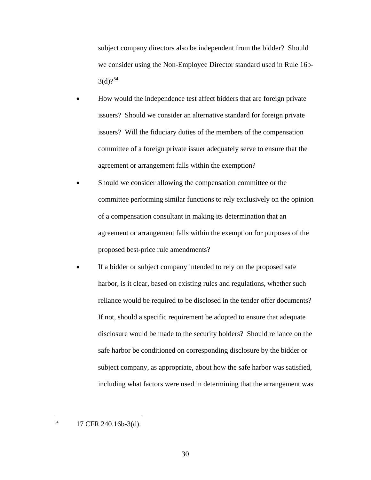subject company directors also be independent from the bidder? Should we consider using the Non-Employee Director standard used in Rule 16b- $3(d)$ ?<sup>54</sup>

- How would the independence test affect bidders that are foreign private issuers? Should we consider an alternative standard for foreign private issuers? Will the fiduciary duties of the members of the compensation committee of a foreign private issuer adequately serve to ensure that the agreement or arrangement falls within the exemption?
- Should we consider allowing the compensation committee or the committee performing similar functions to rely exclusively on the opinion of a compensation consultant in making its determination that an agreement or arrangement falls within the exemption for purposes of the proposed best-price rule amendments?
- If a bidder or subject company intended to rely on the proposed safe harbor, is it clear, based on existing rules and regulations, whether such reliance would be required to be disclosed in the tender offer documents? If not, should a specific requirement be adopted to ensure that adequate disclosure would be made to the security holders? Should reliance on the safe harbor be conditioned on corresponding disclosure by the bidder or subject company, as appropriate, about how the safe harbor was satisfied, including what factors were used in determining that the arrangement was

54 17 CFR 240.16b-3(d).

 $\overline{a}$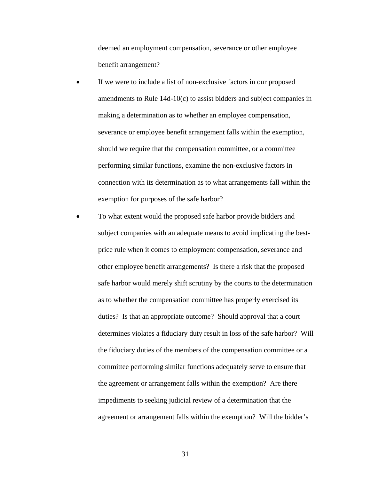deemed an employment compensation, severance or other employee benefit arrangement?

- If we were to include a list of non-exclusive factors in our proposed amendments to Rule 14d-10(c) to assist bidders and subject companies in making a determination as to whether an employee compensation, severance or employee benefit arrangement falls within the exemption, should we require that the compensation committee, or a committee performing similar functions, examine the non-exclusive factors in connection with its determination as to what arrangements fall within the exemption for purposes of the safe harbor?
- To what extent would the proposed safe harbor provide bidders and subject companies with an adequate means to avoid implicating the bestprice rule when it comes to employment compensation, severance and other employee benefit arrangements? Is there a risk that the proposed safe harbor would merely shift scrutiny by the courts to the determination as to whether the compensation committee has properly exercised its duties? Is that an appropriate outcome? Should approval that a court determines violates a fiduciary duty result in loss of the safe harbor? Will the fiduciary duties of the members of the compensation committee or a committee performing similar functions adequately serve to ensure that the agreement or arrangement falls within the exemption? Are there impediments to seeking judicial review of a determination that the agreement or arrangement falls within the exemption? Will the bidder's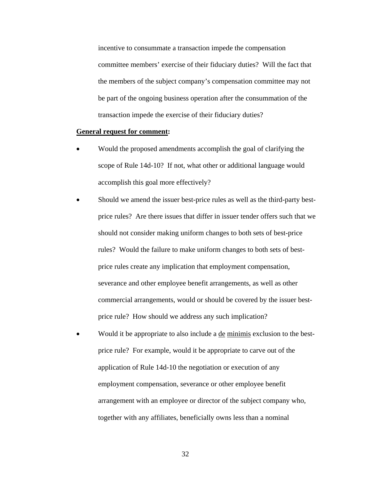incentive to consummate a transaction impede the compensation committee members' exercise of their fiduciary duties? Will the fact that the members of the subject company's compensation committee may not be part of the ongoing business operation after the consummation of the transaction impede the exercise of their fiduciary duties?

#### **General request for comment:**

- Would the proposed amendments accomplish the goal of clarifying the scope of Rule 14d-10? If not, what other or additional language would accomplish this goal more effectively?
- Should we amend the issuer best-price rules as well as the third-party bestprice rules? Are there issues that differ in issuer tender offers such that we should not consider making uniform changes to both sets of best-price rules? Would the failure to make uniform changes to both sets of bestprice rules create any implication that employment compensation, severance and other employee benefit arrangements, as well as other commercial arrangements, would or should be covered by the issuer bestprice rule? How should we address any such implication?
- Would it be appropriate to also include a de minimis exclusion to the bestprice rule? For example, would it be appropriate to carve out of the application of Rule 14d-10 the negotiation or execution of any employment compensation, severance or other employee benefit arrangement with an employee or director of the subject company who, together with any affiliates, beneficially owns less than a nominal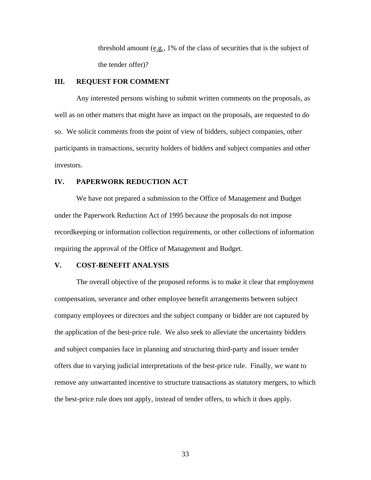threshold amount  $(e.g., 1\%$  of the class of securities that is the subject of the tender offer)?

# **III. REQUEST FOR COMMENT**

Any interested persons wishing to submit written comments on the proposals, as well as on other matters that might have an impact on the proposals, are requested to do so. We solicit comments from the point of view of bidders, subject companies, other participants in transactions, security holders of bidders and subject companies and other investors.

#### **IV. PAPERWORK REDUCTION ACT**

We have not prepared a submission to the Office of Management and Budget under the Paperwork Reduction Act of 1995 because the proposals do not impose recordkeeping or information collection requirements, or other collections of information requiring the approval of the Office of Management and Budget.

## **V. COST-BENEFIT ANALYSIS**

The overall objective of the proposed reforms is to make it clear that employment compensation, severance and other employee benefit arrangements between subject company employees or directors and the subject company or bidder are not captured by the application of the best-price rule. We also seek to alleviate the uncertainty bidders and subject companies face in planning and structuring third-party and issuer tender offers due to varying judicial interpretations of the best-price rule. Finally, we want to remove any unwarranted incentive to structure transactions as statutory mergers, to which the best-price rule does not apply, instead of tender offers, to which it does apply.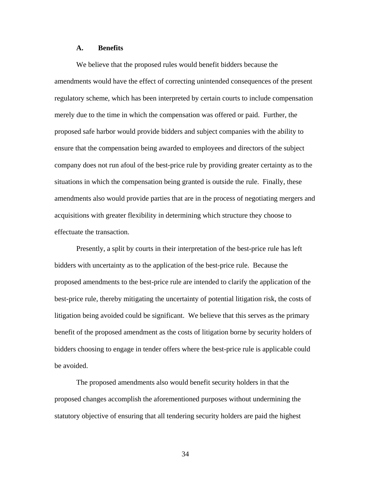#### **A. Benefits**

We believe that the proposed rules would benefit bidders because the amendments would have the effect of correcting unintended consequences of the present regulatory scheme, which has been interpreted by certain courts to include compensation merely due to the time in which the compensation was offered or paid. Further, the proposed safe harbor would provide bidders and subject companies with the ability to ensure that the compensation being awarded to employees and directors of the subject company does not run afoul of the best-price rule by providing greater certainty as to the situations in which the compensation being granted is outside the rule. Finally, these amendments also would provide parties that are in the process of negotiating mergers and acquisitions with greater flexibility in determining which structure they choose to effectuate the transaction.

Presently, a split by courts in their interpretation of the best-price rule has left bidders with uncertainty as to the application of the best-price rule. Because the proposed amendments to the best-price rule are intended to clarify the application of the best-price rule, thereby mitigating the uncertainty of potential litigation risk, the costs of litigation being avoided could be significant. We believe that this serves as the primary benefit of the proposed amendment as the costs of litigation borne by security holders of bidders choosing to engage in tender offers where the best-price rule is applicable could be avoided.

The proposed amendments also would benefit security holders in that the proposed changes accomplish the aforementioned purposes without undermining the statutory objective of ensuring that all tendering security holders are paid the highest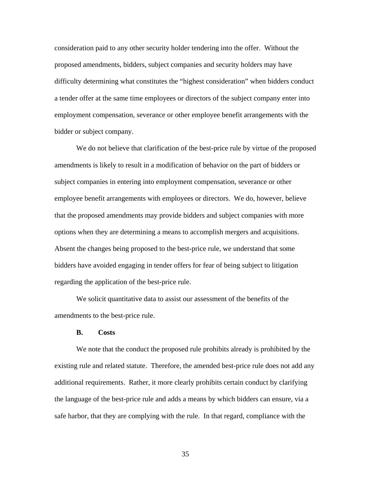consideration paid to any other security holder tendering into the offer. Without the proposed amendments, bidders, subject companies and security holders may have difficulty determining what constitutes the "highest consideration" when bidders conduct a tender offer at the same time employees or directors of the subject company enter into employment compensation, severance or other employee benefit arrangements with the bidder or subject company.

We do not believe that clarification of the best-price rule by virtue of the proposed amendments is likely to result in a modification of behavior on the part of bidders or subject companies in entering into employment compensation, severance or other employee benefit arrangements with employees or directors. We do, however, believe that the proposed amendments may provide bidders and subject companies with more options when they are determining a means to accomplish mergers and acquisitions. Absent the changes being proposed to the best-price rule, we understand that some bidders have avoided engaging in tender offers for fear of being subject to litigation regarding the application of the best-price rule.

We solicit quantitative data to assist our assessment of the benefits of the amendments to the best-price rule.

#### **B. Costs**

We note that the conduct the proposed rule prohibits already is prohibited by the existing rule and related statute. Therefore, the amended best-price rule does not add any additional requirements. Rather, it more clearly prohibits certain conduct by clarifying the language of the best-price rule and adds a means by which bidders can ensure, via a safe harbor, that they are complying with the rule. In that regard, compliance with the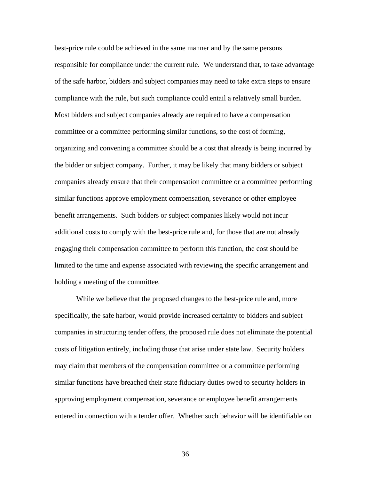best-price rule could be achieved in the same manner and by the same persons responsible for compliance under the current rule. We understand that, to take advantage of the safe harbor, bidders and subject companies may need to take extra steps to ensure compliance with the rule, but such compliance could entail a relatively small burden. Most bidders and subject companies already are required to have a compensation committee or a committee performing similar functions, so the cost of forming, organizing and convening a committee should be a cost that already is being incurred by the bidder or subject company. Further, it may be likely that many bidders or subject companies already ensure that their compensation committee or a committee performing similar functions approve employment compensation, severance or other employee benefit arrangements. Such bidders or subject companies likely would not incur additional costs to comply with the best-price rule and, for those that are not already engaging their compensation committee to perform this function, the cost should be limited to the time and expense associated with reviewing the specific arrangement and holding a meeting of the committee.

While we believe that the proposed changes to the best-price rule and, more specifically, the safe harbor, would provide increased certainty to bidders and subject companies in structuring tender offers, the proposed rule does not eliminate the potential costs of litigation entirely, including those that arise under state law. Security holders may claim that members of the compensation committee or a committee performing similar functions have breached their state fiduciary duties owed to security holders in approving employment compensation, severance or employee benefit arrangements entered in connection with a tender offer. Whether such behavior will be identifiable on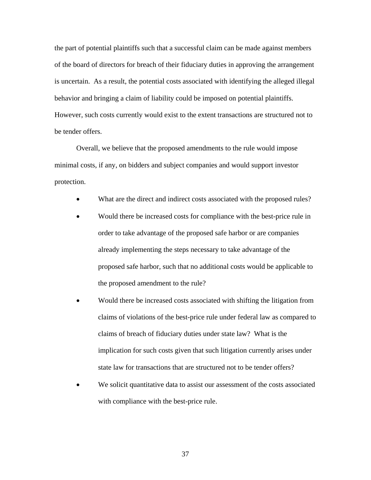the part of potential plaintiffs such that a successful claim can be made against members of the board of directors for breach of their fiduciary duties in approving the arrangement is uncertain. As a result, the potential costs associated with identifying the alleged illegal behavior and bringing a claim of liability could be imposed on potential plaintiffs. However, such costs currently would exist to the extent transactions are structured not to be tender offers.

Overall, we believe that the proposed amendments to the rule would impose minimal costs, if any, on bidders and subject companies and would support investor protection.

- What are the direct and indirect costs associated with the proposed rules?
- Would there be increased costs for compliance with the best-price rule in order to take advantage of the proposed safe harbor or are companies already implementing the steps necessary to take advantage of the proposed safe harbor, such that no additional costs would be applicable to the proposed amendment to the rule?
- Would there be increased costs associated with shifting the litigation from claims of violations of the best-price rule under federal law as compared to claims of breach of fiduciary duties under state law? What is the implication for such costs given that such litigation currently arises under state law for transactions that are structured not to be tender offers?
- We solicit quantitative data to assist our assessment of the costs associated with compliance with the best-price rule.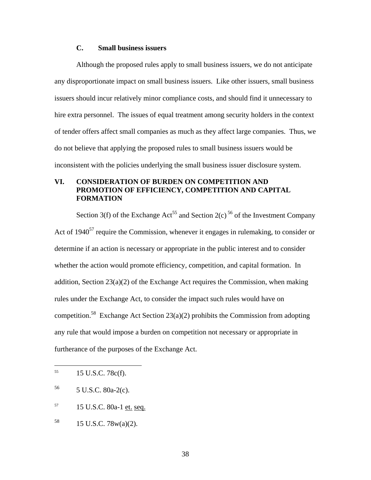# **C. Small business issuers**

Although the proposed rules apply to small business issuers, we do not anticipate any disproportionate impact on small business issuers. Like other issuers, small business issuers should incur relatively minor compliance costs, and should find it unnecessary to hire extra personnel. The issues of equal treatment among security holders in the context of tender offers affect small companies as much as they affect large companies. Thus, we do not believe that applying the proposed rules to small business issuers would be inconsistent with the policies underlying the small business issuer disclosure system.

# **VI. CONSIDERATION OF BURDEN ON COMPETITION AND PROMOTION OF EFFICIENCY, COMPETITION AND CAPITAL FORMATION**

Section 3(f) of the Exchange Act<sup>55</sup> and Section 2(c)<sup>56</sup> of the Investment Company Act of  $1940^{57}$  require the Commission, whenever it engages in rulemaking, to consider or determine if an action is necessary or appropriate in the public interest and to consider whether the action would promote efficiency, competition, and capital formation. In addition, Section 23(a)(2) of the Exchange Act requires the Commission, when making rules under the Exchange Act, to consider the impact such rules would have on competition.<sup>58</sup> Exchange Act Section 23(a)(2) prohibits the Commission from adopting any rule that would impose a burden on competition not necessary or appropriate in furtherance of the purposes of the Exchange Act.

1

 $^{55}$  15 U.S.C. 78c(f).

 $56$  5 U.S.C. 80a-2(c).

<sup>57 15</sup> U.S.C. 80a-1 et. seq.

 $58$  15 U.S.C. 78w(a)(2).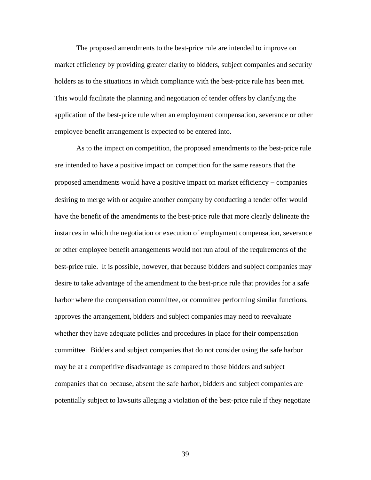The proposed amendments to the best-price rule are intended to improve on market efficiency by providing greater clarity to bidders, subject companies and security holders as to the situations in which compliance with the best-price rule has been met. This would facilitate the planning and negotiation of tender offers by clarifying the application of the best-price rule when an employment compensation, severance or other employee benefit arrangement is expected to be entered into.

As to the impact on competition, the proposed amendments to the best-price rule are intended to have a positive impact on competition for the same reasons that the proposed amendments would have a positive impact on market efficiency − companies desiring to merge with or acquire another company by conducting a tender offer would have the benefit of the amendments to the best-price rule that more clearly delineate the instances in which the negotiation or execution of employment compensation, severance or other employee benefit arrangements would not run afoul of the requirements of the best-price rule. It is possible, however, that because bidders and subject companies may desire to take advantage of the amendment to the best-price rule that provides for a safe harbor where the compensation committee, or committee performing similar functions, approves the arrangement, bidders and subject companies may need to reevaluate whether they have adequate policies and procedures in place for their compensation committee. Bidders and subject companies that do not consider using the safe harbor may be at a competitive disadvantage as compared to those bidders and subject companies that do because, absent the safe harbor, bidders and subject companies are potentially subject to lawsuits alleging a violation of the best-price rule if they negotiate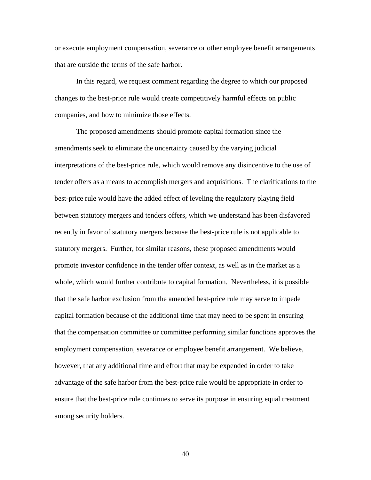or execute employment compensation, severance or other employee benefit arrangements that are outside the terms of the safe harbor.

In this regard, we request comment regarding the degree to which our proposed changes to the best-price rule would create competitively harmful effects on public companies, and how to minimize those effects.

The proposed amendments should promote capital formation since the amendments seek to eliminate the uncertainty caused by the varying judicial interpretations of the best-price rule, which would remove any disincentive to the use of tender offers as a means to accomplish mergers and acquisitions. The clarifications to the best-price rule would have the added effect of leveling the regulatory playing field between statutory mergers and tenders offers, which we understand has been disfavored recently in favor of statutory mergers because the best-price rule is not applicable to statutory mergers. Further, for similar reasons, these proposed amendments would promote investor confidence in the tender offer context, as well as in the market as a whole, which would further contribute to capital formation. Nevertheless, it is possible that the safe harbor exclusion from the amended best-price rule may serve to impede capital formation because of the additional time that may need to be spent in ensuring that the compensation committee or committee performing similar functions approves the employment compensation, severance or employee benefit arrangement. We believe, however, that any additional time and effort that may be expended in order to take advantage of the safe harbor from the best-price rule would be appropriate in order to ensure that the best-price rule continues to serve its purpose in ensuring equal treatment among security holders.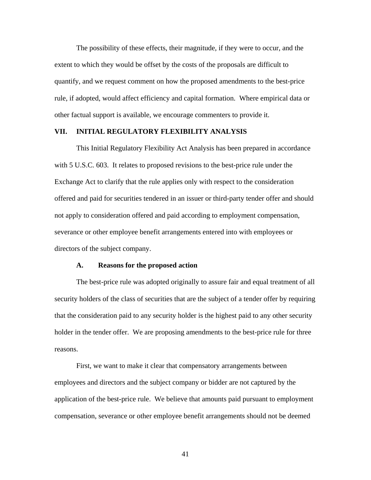The possibility of these effects, their magnitude, if they were to occur, and the extent to which they would be offset by the costs of the proposals are difficult to quantify, and we request comment on how the proposed amendments to the best-price rule, if adopted, would affect efficiency and capital formation. Where empirical data or other factual support is available, we encourage commenters to provide it.

## **VII. INITIAL REGULATORY FLEXIBILITY ANALYSIS**

This Initial Regulatory Flexibility Act Analysis has been prepared in accordance with 5 U.S.C. 603. It relates to proposed revisions to the best-price rule under the Exchange Act to clarify that the rule applies only with respect to the consideration offered and paid for securities tendered in an issuer or third-party tender offer and should not apply to consideration offered and paid according to employment compensation, severance or other employee benefit arrangements entered into with employees or directors of the subject company.

#### **A. Reasons for the proposed action**

The best-price rule was adopted originally to assure fair and equal treatment of all security holders of the class of securities that are the subject of a tender offer by requiring that the consideration paid to any security holder is the highest paid to any other security holder in the tender offer. We are proposing amendments to the best-price rule for three reasons.

First, we want to make it clear that compensatory arrangements between employees and directors and the subject company or bidder are not captured by the application of the best-price rule. We believe that amounts paid pursuant to employment compensation, severance or other employee benefit arrangements should not be deemed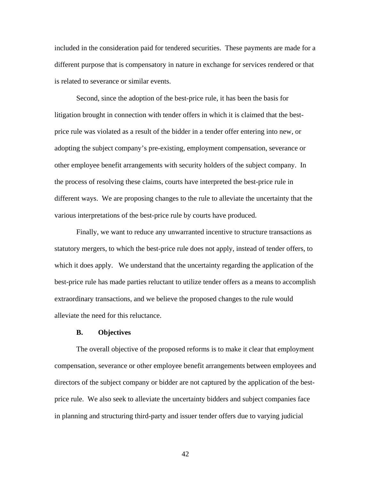included in the consideration paid for tendered securities. These payments are made for a different purpose that is compensatory in nature in exchange for services rendered or that is related to severance or similar events.

Second, since the adoption of the best-price rule, it has been the basis for litigation brought in connection with tender offers in which it is claimed that the bestprice rule was violated as a result of the bidder in a tender offer entering into new, or adopting the subject company's pre-existing, employment compensation, severance or other employee benefit arrangements with security holders of the subject company. In the process of resolving these claims, courts have interpreted the best-price rule in different ways. We are proposing changes to the rule to alleviate the uncertainty that the various interpretations of the best-price rule by courts have produced.

Finally, we want to reduce any unwarranted incentive to structure transactions as statutory mergers, to which the best-price rule does not apply, instead of tender offers, to which it does apply. We understand that the uncertainty regarding the application of the best-price rule has made parties reluctant to utilize tender offers as a means to accomplish extraordinary transactions, and we believe the proposed changes to the rule would alleviate the need for this reluctance.

#### **B. Objectives**

The overall objective of the proposed reforms is to make it clear that employment compensation, severance or other employee benefit arrangements between employees and directors of the subject company or bidder are not captured by the application of the bestprice rule. We also seek to alleviate the uncertainty bidders and subject companies face in planning and structuring third-party and issuer tender offers due to varying judicial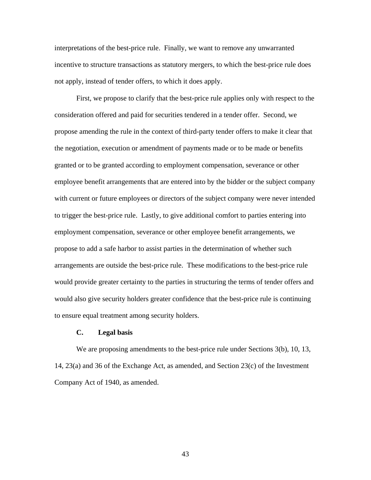interpretations of the best-price rule. Finally, we want to remove any unwarranted incentive to structure transactions as statutory mergers, to which the best-price rule does not apply, instead of tender offers, to which it does apply.

First, we propose to clarify that the best-price rule applies only with respect to the consideration offered and paid for securities tendered in a tender offer. Second, we propose amending the rule in the context of third-party tender offers to make it clear that the negotiation, execution or amendment of payments made or to be made or benefits granted or to be granted according to employment compensation, severance or other employee benefit arrangements that are entered into by the bidder or the subject company with current or future employees or directors of the subject company were never intended to trigger the best-price rule. Lastly, to give additional comfort to parties entering into employment compensation, severance or other employee benefit arrangements, we propose to add a safe harbor to assist parties in the determination of whether such arrangements are outside the best-price rule. These modifications to the best-price rule would provide greater certainty to the parties in structuring the terms of tender offers and would also give security holders greater confidence that the best-price rule is continuing to ensure equal treatment among security holders.

## **C. Legal basis**

We are proposing amendments to the best-price rule under Sections 3(b), 10, 13, 14, 23(a) and 36 of the Exchange Act, as amended, and Section 23(c) of the Investment Company Act of 1940, as amended.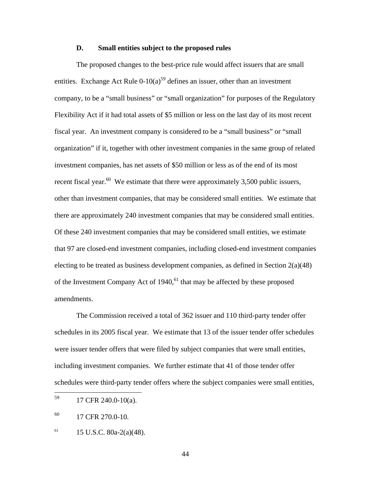# **D. Small entities subject to the proposed rules**

The proposed changes to the best-price rule would affect issuers that are small entities. Exchange Act Rule  $0-10(a)^{59}$  defines an issuer, other than an investment company, to be a "small business" or "small organization" for purposes of the Regulatory Flexibility Act if it had total assets of \$5 million or less on the last day of its most recent fiscal year. An investment company is considered to be a "small business" or "small organization" if it, together with other investment companies in the same group of related investment companies, has net assets of \$50 million or less as of the end of its most recent fiscal year.<sup>60</sup> We estimate that there were approximately 3,500 public issuers, other than investment companies, that may be considered small entities. We estimate that there are approximately 240 investment companies that may be considered small entities. Of these 240 investment companies that may be considered small entities, we estimate that 97 are closed-end investment companies, including closed-end investment companies electing to be treated as business development companies, as defined in Section  $2(a)(48)$ of the Investment Company Act of  $1940<sup>61</sup>$  that may be affected by these proposed amendments.

The Commission received a total of 362 issuer and 110 third-party tender offer schedules in its 2005 fiscal year. We estimate that 13 of the issuer tender offer schedules were issuer tender offers that were filed by subject companies that were small entities, including investment companies. We further estimate that 41 of those tender offer schedules were third-party tender offers where the subject companies were small entities,

<sup>59</sup> 17 CFR 240.0-10(a).

<sup>&</sup>lt;sup>60</sup> 17 CFR 270.0-10.

 $^{61}$  15 U.S.C. 80a-2(a)(48).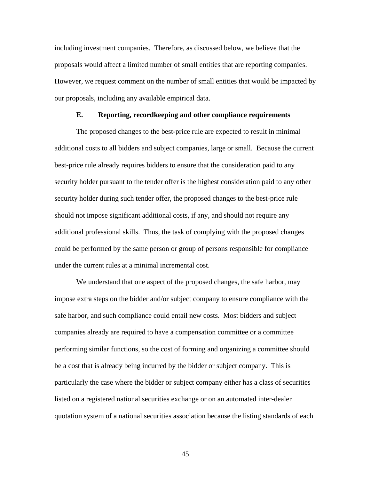including investment companies. Therefore, as discussed below, we believe that the proposals would affect a limited number of small entities that are reporting companies. However, we request comment on the number of small entities that would be impacted by our proposals, including any available empirical data.

### **E. Reporting, recordkeeping and other compliance requirements**

The proposed changes to the best-price rule are expected to result in minimal additional costs to all bidders and subject companies, large or small. Because the current best-price rule already requires bidders to ensure that the consideration paid to any security holder pursuant to the tender offer is the highest consideration paid to any other security holder during such tender offer, the proposed changes to the best-price rule should not impose significant additional costs, if any, and should not require any additional professional skills. Thus, the task of complying with the proposed changes could be performed by the same person or group of persons responsible for compliance under the current rules at a minimal incremental cost.

We understand that one aspect of the proposed changes, the safe harbor, may impose extra steps on the bidder and/or subject company to ensure compliance with the safe harbor, and such compliance could entail new costs. Most bidders and subject companies already are required to have a compensation committee or a committee performing similar functions, so the cost of forming and organizing a committee should be a cost that is already being incurred by the bidder or subject company. This is particularly the case where the bidder or subject company either has a class of securities listed on a registered national securities exchange or on an automated inter-dealer quotation system of a national securities association because the listing standards of each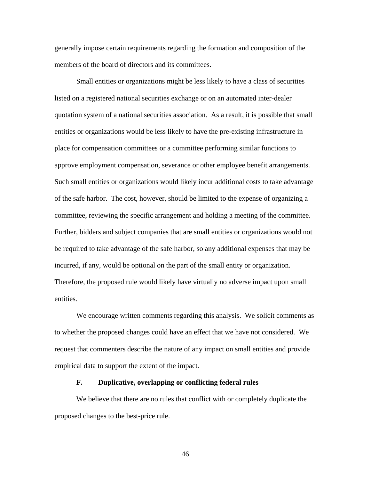generally impose certain requirements regarding the formation and composition of the members of the board of directors and its committees.

Small entities or organizations might be less likely to have a class of securities listed on a registered national securities exchange or on an automated inter-dealer quotation system of a national securities association. As a result, it is possible that small entities or organizations would be less likely to have the pre-existing infrastructure in place for compensation committees or a committee performing similar functions to approve employment compensation, severance or other employee benefit arrangements. Such small entities or organizations would likely incur additional costs to take advantage of the safe harbor. The cost, however, should be limited to the expense of organizing a committee, reviewing the specific arrangement and holding a meeting of the committee. Further, bidders and subject companies that are small entities or organizations would not be required to take advantage of the safe harbor, so any additional expenses that may be incurred, if any, would be optional on the part of the small entity or organization. Therefore, the proposed rule would likely have virtually no adverse impact upon small entities.

We encourage written comments regarding this analysis. We solicit comments as to whether the proposed changes could have an effect that we have not considered. We request that commenters describe the nature of any impact on small entities and provide empirical data to support the extent of the impact.

#### **F. Duplicative, overlapping or conflicting federal rules**

We believe that there are no rules that conflict with or completely duplicate the proposed changes to the best-price rule.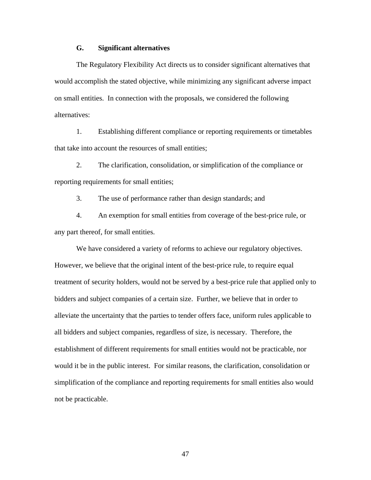## **G. Significant alternatives**

The Regulatory Flexibility Act directs us to consider significant alternatives that would accomplish the stated objective, while minimizing any significant adverse impact on small entities. In connection with the proposals, we considered the following alternatives:

1. Establishing different compliance or reporting requirements or timetables that take into account the resources of small entities;

2. The clarification, consolidation, or simplification of the compliance or reporting requirements for small entities;

3. The use of performance rather than design standards; and

4. An exemption for small entities from coverage of the best-price rule, or any part thereof, for small entities.

We have considered a variety of reforms to achieve our regulatory objectives. However, we believe that the original intent of the best-price rule, to require equal treatment of security holders, would not be served by a best-price rule that applied only to bidders and subject companies of a certain size. Further, we believe that in order to alleviate the uncertainty that the parties to tender offers face, uniform rules applicable to all bidders and subject companies, regardless of size, is necessary. Therefore, the establishment of different requirements for small entities would not be practicable, nor would it be in the public interest. For similar reasons, the clarification, consolidation or simplification of the compliance and reporting requirements for small entities also would not be practicable.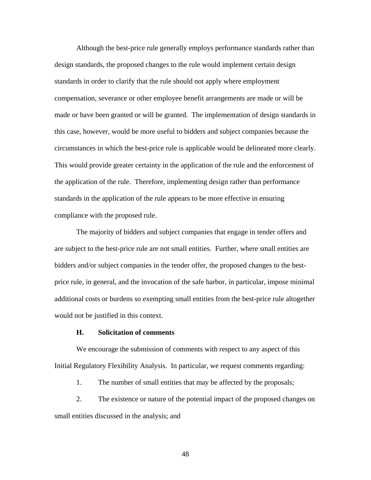Although the best-price rule generally employs performance standards rather than design standards, the proposed changes to the rule would implement certain design standards in order to clarify that the rule should not apply where employment compensation, severance or other employee benefit arrangements are made or will be made or have been granted or will be granted. The implementation of design standards in this case, however, would be more useful to bidders and subject companies because the circumstances in which the best-price rule is applicable would be delineated more clearly. This would provide greater certainty in the application of the rule and the enforcement of the application of the rule. Therefore, implementing design rather than performance standards in the application of the rule appears to be more effective in ensuring compliance with the proposed rule.

The majority of bidders and subject companies that engage in tender offers and are subject to the best-price rule are not small entities. Further, where small entities are bidders and/or subject companies in the tender offer, the proposed changes to the bestprice rule, in general, and the invocation of the safe harbor, in particular, impose minimal additional costs or burdens so exempting small entities from the best-price rule altogether would not be justified in this context.

## **H. Solicitation of comments**

We encourage the submission of comments with respect to any aspect of this Initial Regulatory Flexibility Analysis. In particular, we request comments regarding:

1. The number of small entities that may be affected by the proposals;

2. The existence or nature of the potential impact of the proposed changes on small entities discussed in the analysis; and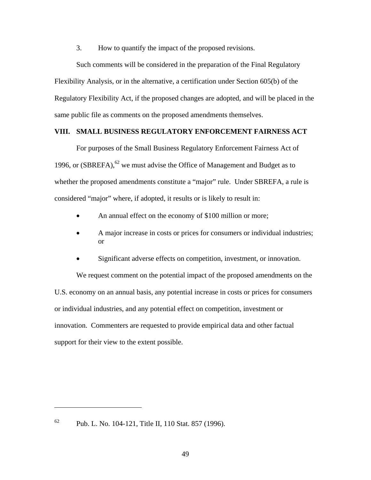3. How to quantify the impact of the proposed revisions.

Such comments will be considered in the preparation of the Final Regulatory Flexibility Analysis, or in the alternative, a certification under Section 605(b) of the Regulatory Flexibility Act, if the proposed changes are adopted, and will be placed in the same public file as comments on the proposed amendments themselves.

## **VIII. SMALL BUSINESS REGULATORY ENFORCEMENT FAIRNESS ACT**

For purposes of the Small Business Regulatory Enforcement Fairness Act of 1996, or  $(SBREFA)$ , <sup>62</sup> we must advise the Office of Management and Budget as to whether the proposed amendments constitute a "major" rule. Under SBREFA, a rule is considered "major" where, if adopted, it results or is likely to result in:

- An annual effect on the economy of \$100 million or more;
- A major increase in costs or prices for consumers or individual industries; or
- Significant adverse effects on competition, investment, or innovation.

We request comment on the potential impact of the proposed amendments on the U.S. economy on an annual basis, any potential increase in costs or prices for consumers or individual industries, and any potential effect on competition, investment or innovation. Commenters are requested to provide empirical data and other factual support for their view to the extent possible.

 $62$  Pub. L. No. 104-121, Title II, 110 Stat. 857 (1996).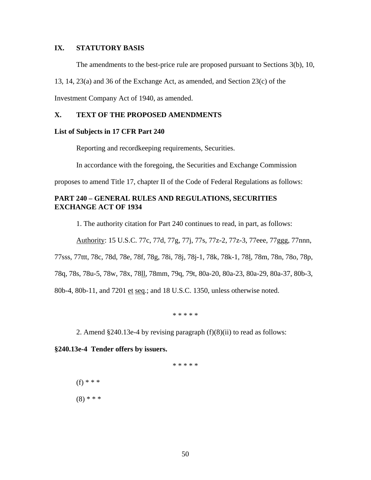# **IX. STATUTORY BASIS**

The amendments to the best-price rule are proposed pursuant to Sections 3(b), 10,

13, 14, 23(a) and 36 of the Exchange Act, as amended, and Section 23(c) of the

Investment Company Act of 1940, as amended.

# **X. TEXT OF THE PROPOSED AMENDMENTS**

#### **List of Subjects in 17 CFR Part 240**

Reporting and recordkeeping requirements, Securities.

In accordance with the foregoing, the Securities and Exchange Commission

proposes to amend Title 17, chapter II of the Code of Federal Regulations as follows:

# **PART 240 – GENERAL RULES AND REGULATIONS, SECURITIES EXCHANGE ACT OF 1934**

1. The authority citation for Part 240 continues to read, in part, as follows:

Authority: 15 U.S.C. 77c, 77d, 77g, 77j, 77s, 77z-2, 77z-3, 77eee, 77ggg, 77nnn,

77sss, 77ttt, 78c, 78d, 78e, 78f, 78g, 78i, 78j, 78j-1, 78k, 78k-1, 78l, 78m, 78n, 78o, 78p,

78q, 78s, 78u-5, 78w, 78x, 78ll, 78mm, 79q, 79t, 80a-20, 80a-23, 80a-29, 80a-37, 80b-3,

80b-4, 80b-11, and 7201 et seq.; and 18 U.S.C. 1350, unless otherwise noted.

\* \* \* \* \*

2. Amend §240.13e-4 by revising paragraph (f)(8)(ii) to read as follows:

**§240.13e-4 Tender offers by issuers.** 

\* \* \* \* \*

(f) \* \* \*

 $(8)$  \* \* \*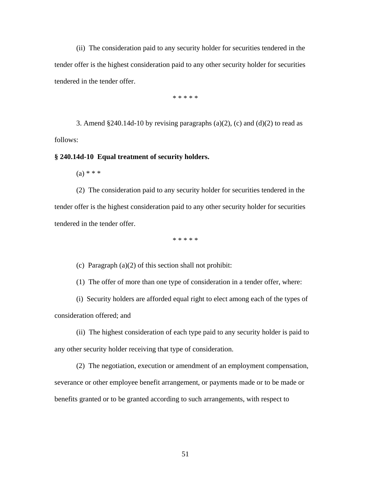(ii) The consideration paid to any security holder for securities tendered in the tender offer is the highest consideration paid to any other security holder for securities tendered in the tender offer.

\* \* \* \* \*

3. Amend  $§240.14d-10$  by revising paragraphs (a)(2), (c) and (d)(2) to read as follows:

**§ 240.14d-10 Equal treatment of security holders.**

 $(a) * * *$ 

(2) The consideration paid to any security holder for securities tendered in the tender offer is the highest consideration paid to any other security holder for securities tendered in the tender offer.

\* \* \* \* \*

(c) Paragraph (a)(2) of this section shall not prohibit:

(1) The offer of more than one type of consideration in a tender offer, where:

(i) Security holders are afforded equal right to elect among each of the types of consideration offered; and

(ii) The highest consideration of each type paid to any security holder is paid to any other security holder receiving that type of consideration.

(2) The negotiation, execution or amendment of an employment compensation, severance or other employee benefit arrangement, or payments made or to be made or benefits granted or to be granted according to such arrangements, with respect to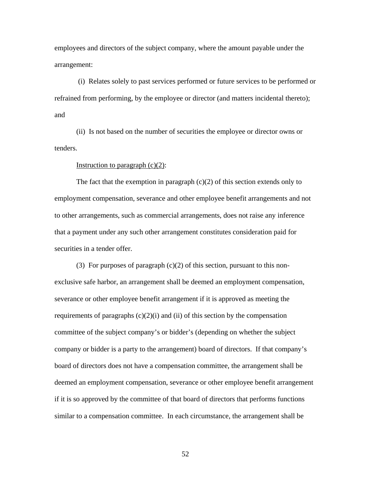employees and directors of the subject company, where the amount payable under the arrangement:

 (i) Relates solely to past services performed or future services to be performed or refrained from performing, by the employee or director (and matters incidental thereto); and

(ii) Is not based on the number of securities the employee or director owns or tenders.

#### Instruction to paragraph  $(c)(2)$ :

The fact that the exemption in paragraph  $(c)(2)$  of this section extends only to employment compensation, severance and other employee benefit arrangements and not to other arrangements, such as commercial arrangements, does not raise any inference that a payment under any such other arrangement constitutes consideration paid for securities in a tender offer.

(3) For purposes of paragraph  $(c)(2)$  of this section, pursuant to this nonexclusive safe harbor, an arrangement shall be deemed an employment compensation, severance or other employee benefit arrangement if it is approved as meeting the requirements of paragraphs  $(c)(2)(i)$  and  $(ii)$  of this section by the compensation committee of the subject company's or bidder's (depending on whether the subject company or bidder is a party to the arrangement) board of directors. If that company's board of directors does not have a compensation committee, the arrangement shall be deemed an employment compensation, severance or other employee benefit arrangement if it is so approved by the committee of that board of directors that performs functions similar to a compensation committee. In each circumstance, the arrangement shall be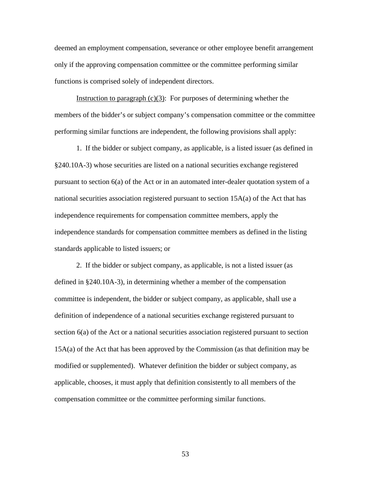deemed an employment compensation, severance or other employee benefit arrangement only if the approving compensation committee or the committee performing similar functions is comprised solely of independent directors.

Instruction to paragraph  $(c)(3)$ : For purposes of determining whether the members of the bidder's or subject company's compensation committee or the committee performing similar functions are independent, the following provisions shall apply:

1. If the bidder or subject company, as applicable, is a listed issuer (as defined in §240.10A-3) whose securities are listed on a national securities exchange registered pursuant to section 6(a) of the Act or in an automated inter-dealer quotation system of a national securities association registered pursuant to section 15A(a) of the Act that has independence requirements for compensation committee members, apply the independence standards for compensation committee members as defined in the listing standards applicable to listed issuers; or

2. If the bidder or subject company, as applicable, is not a listed issuer (as defined in §240.10A-3), in determining whether a member of the compensation committee is independent, the bidder or subject company, as applicable, shall use a definition of independence of a national securities exchange registered pursuant to section 6(a) of the Act or a national securities association registered pursuant to section 15A(a) of the Act that has been approved by the Commission (as that definition may be modified or supplemented). Whatever definition the bidder or subject company, as applicable, chooses, it must apply that definition consistently to all members of the compensation committee or the committee performing similar functions.